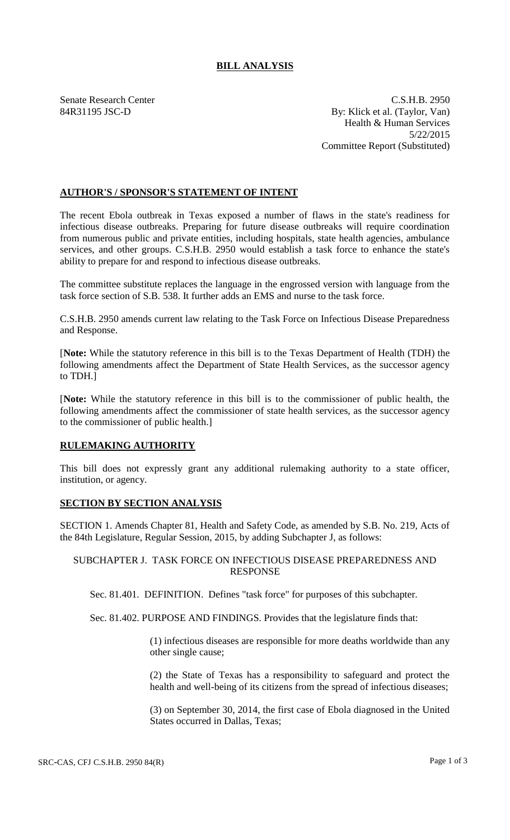# **BILL ANALYSIS**

Senate Research Center C.S.H.B. 2950 84R31195 JSC-D By: Klick et al. (Taylor, Van) Health & Human Services 5/22/2015 Committee Report (Substituted)

# **AUTHOR'S / SPONSOR'S STATEMENT OF INTENT**

The recent Ebola outbreak in Texas exposed a number of flaws in the state's readiness for infectious disease outbreaks. Preparing for future disease outbreaks will require coordination from numerous public and private entities, including hospitals, state health agencies, ambulance services, and other groups. C.S.H.B. 2950 would establish a task force to enhance the state's ability to prepare for and respond to infectious disease outbreaks.

The committee substitute replaces the language in the engrossed version with language from the task force section of S.B. 538. It further adds an EMS and nurse to the task force.

C.S.H.B. 2950 amends current law relating to the Task Force on Infectious Disease Preparedness and Response.

[**Note:** While the statutory reference in this bill is to the Texas Department of Health (TDH) the following amendments affect the Department of State Health Services, as the successor agency to TDH.]

[**Note:** While the statutory reference in this bill is to the commissioner of public health, the following amendments affect the commissioner of state health services, as the successor agency to the commissioner of public health.]

### **RULEMAKING AUTHORITY**

This bill does not expressly grant any additional rulemaking authority to a state officer, institution, or agency.

### **SECTION BY SECTION ANALYSIS**

SECTION 1. Amends Chapter 81, Health and Safety Code, as amended by S.B. No. 219, Acts of the 84th Legislature, Regular Session, 2015, by adding Subchapter J, as follows:

### SUBCHAPTER J. TASK FORCE ON INFECTIOUS DISEASE PREPAREDNESS AND RESPONSE

Sec. 81.401. DEFINITION. Defines "task force" for purposes of this subchapter.

Sec. 81.402. PURPOSE AND FINDINGS. Provides that the legislature finds that:

(1) infectious diseases are responsible for more deaths worldwide than any other single cause;

(2) the State of Texas has a responsibility to safeguard and protect the health and well-being of its citizens from the spread of infectious diseases;

(3) on September 30, 2014, the first case of Ebola diagnosed in the United States occurred in Dallas, Texas;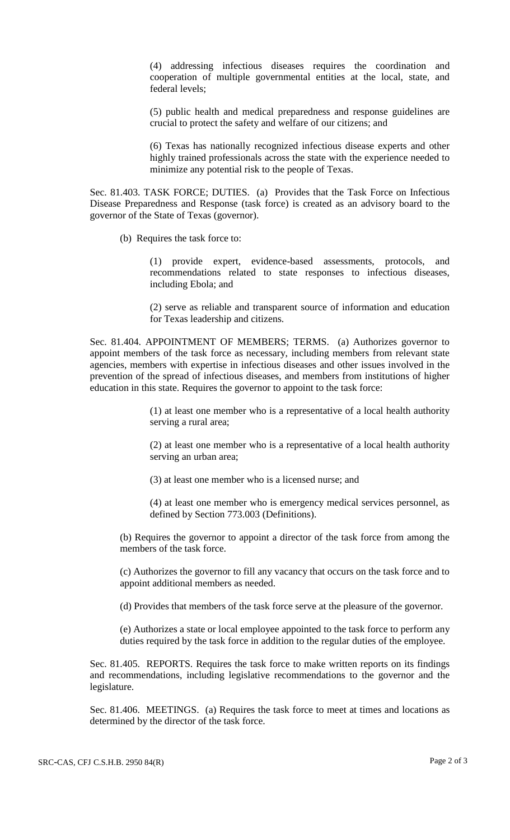(4) addressing infectious diseases requires the coordination and cooperation of multiple governmental entities at the local, state, and federal levels;

(5) public health and medical preparedness and response guidelines are crucial to protect the safety and welfare of our citizens; and

(6) Texas has nationally recognized infectious disease experts and other highly trained professionals across the state with the experience needed to minimize any potential risk to the people of Texas.

Sec. 81.403. TASK FORCE; DUTIES. (a) Provides that the Task Force on Infectious Disease Preparedness and Response (task force) is created as an advisory board to the governor of the State of Texas (governor).

(b) Requires the task force to:

(1) provide expert, evidence-based assessments, protocols, and recommendations related to state responses to infectious diseases, including Ebola; and

(2) serve as reliable and transparent source of information and education for Texas leadership and citizens.

Sec. 81.404. APPOINTMENT OF MEMBERS; TERMS. (a) Authorizes governor to appoint members of the task force as necessary, including members from relevant state agencies, members with expertise in infectious diseases and other issues involved in the prevention of the spread of infectious diseases, and members from institutions of higher education in this state. Requires the governor to appoint to the task force:

> (1) at least one member who is a representative of a local health authority serving a rural area;

> (2) at least one member who is a representative of a local health authority serving an urban area;

(3) at least one member who is a licensed nurse; and

(4) at least one member who is emergency medical services personnel, as defined by Section 773.003 (Definitions).

(b) Requires the governor to appoint a director of the task force from among the members of the task force.

(c) Authorizes the governor to fill any vacancy that occurs on the task force and to appoint additional members as needed.

(d) Provides that members of the task force serve at the pleasure of the governor.

(e) Authorizes a state or local employee appointed to the task force to perform any duties required by the task force in addition to the regular duties of the employee.

Sec. 81.405. REPORTS. Requires the task force to make written reports on its findings and recommendations, including legislative recommendations to the governor and the legislature.

Sec. 81.406. MEETINGS. (a) Requires the task force to meet at times and locations as determined by the director of the task force.